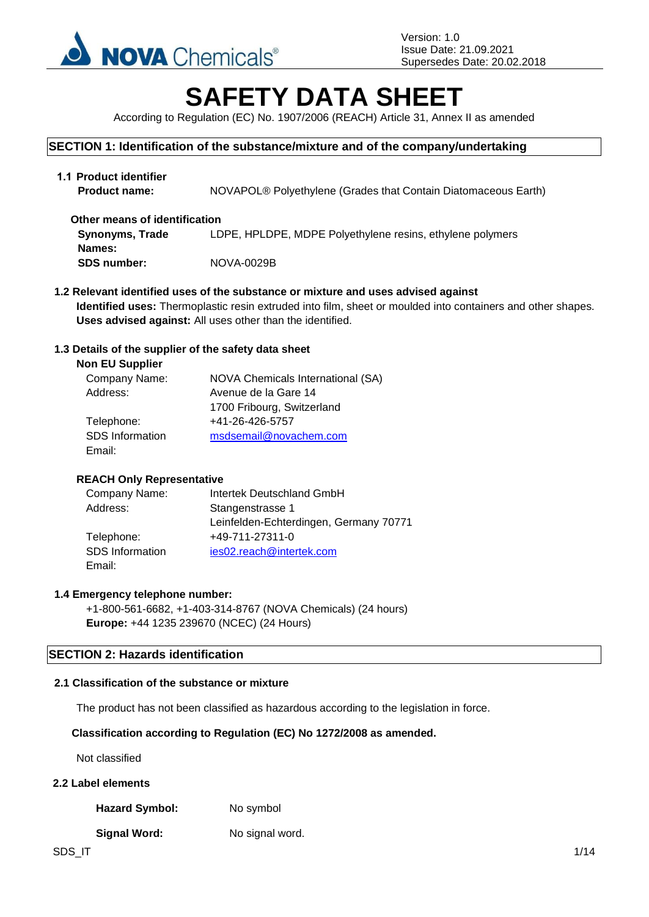

# **SAFETY DATA SHEET**

According to Regulation (EC) No. 1907/2006 (REACH) Article 31, Annex II as amended

## **SECTION 1: Identification of the substance/mixture and of the company/undertaking**

| 1.1 Product identifier<br><b>Product name:</b> | NOVAPOL® Polyethylene (Grades that Contain Diatomaceous Earth) |
|------------------------------------------------|----------------------------------------------------------------|
| Other means of identification                  |                                                                |
| <b>Synonyms, Trade</b>                         | LDPE, HPLDPE, MDPE Polyethylene resins, ethylene polymers      |
| Names:                                         |                                                                |
| <b>SDS number:</b>                             | NOVA-0029B                                                     |

**1.2 Relevant identified uses of the substance or mixture and uses advised against Identified uses:** Thermoplastic resin extruded into film, sheet or moulded into containers and other shapes. **Uses advised against:** All uses other than the identified.

## **1.3 Details of the supplier of the safety data sheet**

| <b>NOVA Chemicals International (SA)</b> |
|------------------------------------------|
| Avenue de la Gare 14                     |
| 1700 Fribourg, Switzerland               |
| +41-26-426-5757                          |
| msdsemail@novachem.com                   |
|                                          |
|                                          |

## **REACH Only Representative**

| Company Name:          | Intertek Deutschland GmbH              |
|------------------------|----------------------------------------|
| Address:               | Stangenstrasse 1                       |
|                        | Leinfelden-Echterdingen, Germany 70771 |
| Telephone:             | +49-711-27311-0                        |
| <b>SDS</b> Information | ies02.reach@intertek.com               |
| Email:                 |                                        |

## **1.4 Emergency telephone number:**

+1-800-561-6682, +1-403-314-8767 (NOVA Chemicals) (24 hours) **Europe:** +44 1235 239670 (NCEC) (24 Hours)

## **SECTION 2: Hazards identification**

## **2.1 Classification of the substance or mixture**

The product has not been classified as hazardous according to the legislation in force.

## **Classification according to Regulation (EC) No 1272/2008 as amended.**

Not classified

## **2.2 Label elements**

Hazard Symbol: No symbol

## **Signal Word:** No signal word.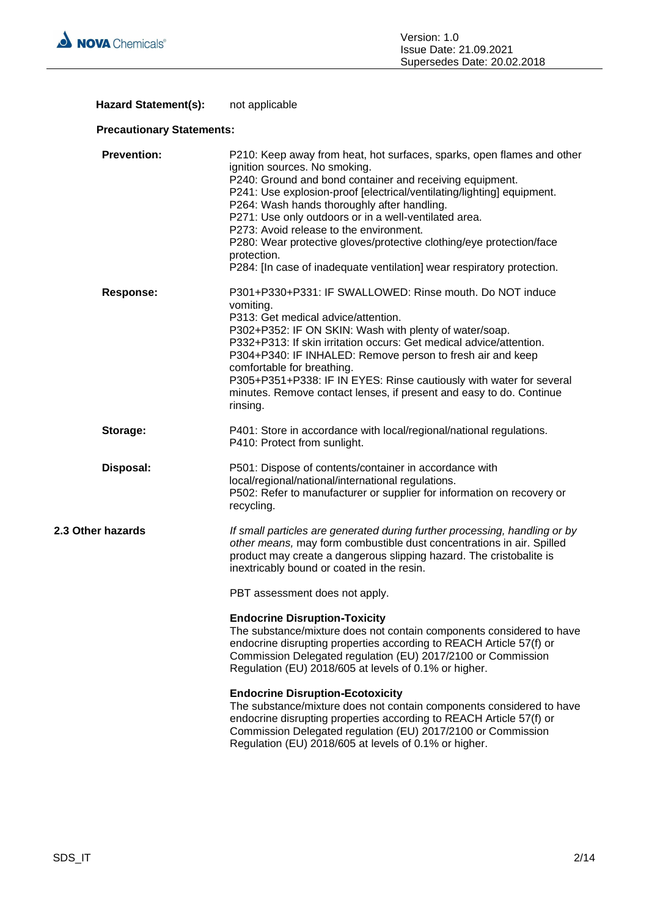

## Hazard Statement(s): not applicable

## **Precautionary Statements:**

| <b>Prevention:</b> | P210: Keep away from heat, hot surfaces, sparks, open flames and other<br>ignition sources. No smoking.<br>P240: Ground and bond container and receiving equipment.<br>P241: Use explosion-proof [electrical/ventilating/lighting] equipment.<br>P264: Wash hands thoroughly after handling.<br>P271: Use only outdoors or in a well-ventilated area.<br>P273: Avoid release to the environment.<br>P280: Wear protective gloves/protective clothing/eye protection/face<br>protection.<br>P284: [In case of inadequate ventilation] wear respiratory protection. |
|--------------------|-------------------------------------------------------------------------------------------------------------------------------------------------------------------------------------------------------------------------------------------------------------------------------------------------------------------------------------------------------------------------------------------------------------------------------------------------------------------------------------------------------------------------------------------------------------------|
| <b>Response:</b>   | P301+P330+P331: IF SWALLOWED: Rinse mouth. Do NOT induce<br>vomiting.<br>P313: Get medical advice/attention.<br>P302+P352: IF ON SKIN: Wash with plenty of water/soap.<br>P332+P313: If skin irritation occurs: Get medical advice/attention.<br>P304+P340: IF INHALED: Remove person to fresh air and keep<br>comfortable for breathing.<br>P305+P351+P338: IF IN EYES: Rinse cautiously with water for several<br>minutes. Remove contact lenses, if present and easy to do. Continue<br>rinsing.                                                               |
| Storage:           | P401: Store in accordance with local/regional/national regulations.<br>P410: Protect from sunlight.                                                                                                                                                                                                                                                                                                                                                                                                                                                               |
| Disposal:          | P501: Dispose of contents/container in accordance with<br>local/regional/national/international regulations.<br>P502: Refer to manufacturer or supplier for information on recovery or<br>recycling.                                                                                                                                                                                                                                                                                                                                                              |
| 2.3 Other hazards  | If small particles are generated during further processing, handling or by<br>other means, may form combustible dust concentrations in air. Spilled<br>product may create a dangerous slipping hazard. The cristobalite is<br>inextricably bound or coated in the resin.                                                                                                                                                                                                                                                                                          |
|                    | PBT assessment does not apply.                                                                                                                                                                                                                                                                                                                                                                                                                                                                                                                                    |
|                    | <b>Endocrine Disruption-Toxicity</b><br>The substance/mixture does not contain components considered to have<br>endocrine disrupting properties according to REACH Article 57(f) or<br>Commission Delegated regulation (EU) 2017/2100 or Commission<br>Regulation (EU) 2018/605 at levels of 0.1% or higher.                                                                                                                                                                                                                                                      |
|                    | <b>Endocrine Disruption-Ecotoxicity</b><br>The substance/mixture does not contain components considered to have<br>endocrine disrupting properties according to REACH Article 57(f) or<br>Commission Delegated regulation (EU) 2017/2100 or Commission<br>Regulation (EU) 2018/605 at levels of 0.1% or higher.                                                                                                                                                                                                                                                   |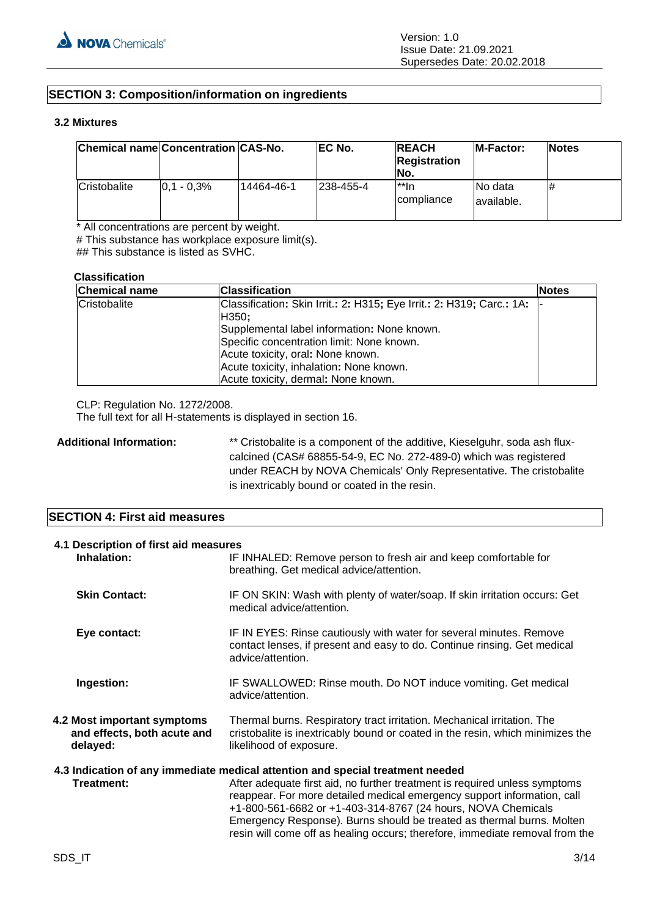## **SECTION 3: Composition/information on ingredients**

## **3.2 Mixtures**

| Chemical name Concentration CAS-No. |               |            | EC No.    | <b>REACH</b><br><b>Registration</b><br>No. | <b>IM-Factor:</b>      | <b>Notes</b> |
|-------------------------------------|---------------|------------|-----------|--------------------------------------------|------------------------|--------------|
| Cristobalite                        | $0.1 - 0.3\%$ | 14464-46-1 | 238-455-4 | $^{\star\star}$ In<br>compliance           | No data<br>lavailable. | #            |

\* All concentrations are percent by weight.

# This substance has workplace exposure limit(s).

## This substance is listed as SVHC.

#### **Classification**

| <b>Chemical name</b> | <b>Classification</b>                                                                                                                                                                                                                                                                             | <b>Notes</b> |
|----------------------|---------------------------------------------------------------------------------------------------------------------------------------------------------------------------------------------------------------------------------------------------------------------------------------------------|--------------|
| Cristobalite         | Classification: Skin Irrit.: 2: H315; Eye Irrit.: 2: H319; Carc.: 1A:<br>H350;<br>Supplemental label information: None known.<br>Specific concentration limit: None known.<br>Acute toxicity, oral: None known.<br>Acute toxicity, inhalation: None known.<br>Acute toxicity, dermal: None known. |              |

CLP: Regulation No. 1272/2008.

The full text for all H-statements is displayed in section 16.

Additional Information: \*\* Cristobalite is a component of the additive, Kieselguhr, soda ash fluxcalcined (CAS# 68855-54-9, EC No. 272-489-0) which was registered under REACH by NOVA Chemicals' Only Representative. The cristobalite is inextricably bound or coated in the resin.

## **SECTION 4: First aid measures**

| 4.1 Description of first aid measures<br>Inhalation:                   | IF INHALED: Remove person to fresh air and keep comfortable for<br>breathing. Get medical advice/attention.                                                                                                                                                                                                                                                                                                                                                      |  |
|------------------------------------------------------------------------|------------------------------------------------------------------------------------------------------------------------------------------------------------------------------------------------------------------------------------------------------------------------------------------------------------------------------------------------------------------------------------------------------------------------------------------------------------------|--|
| <b>Skin Contact:</b>                                                   | IF ON SKIN: Wash with plenty of water/soap. If skin irritation occurs: Get<br>medical advice/attention.                                                                                                                                                                                                                                                                                                                                                          |  |
| Eye contact:                                                           | IF IN EYES: Rinse cautiously with water for several minutes. Remove<br>contact lenses, if present and easy to do. Continue rinsing. Get medical<br>advice/attention.                                                                                                                                                                                                                                                                                             |  |
| Ingestion:                                                             | IF SWALLOWED: Rinse mouth. Do NOT induce vomiting. Get medical<br>advice/attention.                                                                                                                                                                                                                                                                                                                                                                              |  |
| 4.2 Most important symptoms<br>and effects, both acute and<br>delayed: | Thermal burns. Respiratory tract irritation. Mechanical irritation. The<br>cristobalite is inextricably bound or coated in the resin, which minimizes the<br>likelihood of exposure.                                                                                                                                                                                                                                                                             |  |
| Treatment:                                                             | 4.3 Indication of any immediate medical attention and special treatment needed<br>After adequate first aid, no further treatment is required unless symptoms<br>reappear. For more detailed medical emergency support information, call<br>+1-800-561-6682 or +1-403-314-8767 (24 hours, NOVA Chemicals<br>Emergency Response). Burns should be treated as thermal burns. Molten<br>resin will come off as healing occurs; therefore, immediate removal from the |  |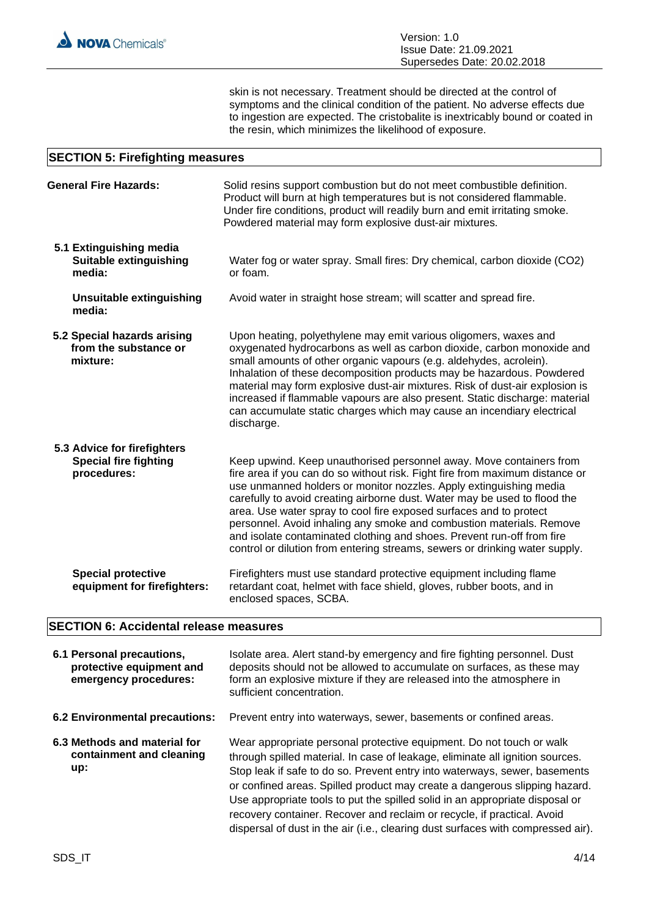skin is not necessary. Treatment should be directed at the control of symptoms and the clinical condition of the patient. No adverse effects due to ingestion are expected. The cristobalite is inextricably bound or coated in the resin, which minimizes the likelihood of exposure.

## **SECTION 5: Firefighting measures**

| <b>General Fire Hazards:</b>                                               | Solid resins support combustion but do not meet combustible definition.<br>Product will burn at high temperatures but is not considered flammable.<br>Under fire conditions, product will readily burn and emit irritating smoke.<br>Powdered material may form explosive dust-air mixtures.                                                                                                                                                                                                                                                                                                                  |  |
|----------------------------------------------------------------------------|---------------------------------------------------------------------------------------------------------------------------------------------------------------------------------------------------------------------------------------------------------------------------------------------------------------------------------------------------------------------------------------------------------------------------------------------------------------------------------------------------------------------------------------------------------------------------------------------------------------|--|
| 5.1 Extinguishing media<br><b>Suitable extinguishing</b><br>media:         | Water fog or water spray. Small fires: Dry chemical, carbon dioxide (CO2)<br>or foam.                                                                                                                                                                                                                                                                                                                                                                                                                                                                                                                         |  |
| <b>Unsuitable extinguishing</b><br>media:                                  | Avoid water in straight hose stream; will scatter and spread fire.                                                                                                                                                                                                                                                                                                                                                                                                                                                                                                                                            |  |
| 5.2 Special hazards arising<br>from the substance or<br>mixture:           | Upon heating, polyethylene may emit various oligomers, waxes and<br>oxygenated hydrocarbons as well as carbon dioxide, carbon monoxide and<br>small amounts of other organic vapours (e.g. aldehydes, acrolein).<br>Inhalation of these decomposition products may be hazardous. Powdered<br>material may form explosive dust-air mixtures. Risk of dust-air explosion is<br>increased if flammable vapours are also present. Static discharge: material<br>can accumulate static charges which may cause an incendiary electrical<br>discharge.                                                              |  |
| 5.3 Advice for firefighters<br><b>Special fire fighting</b><br>procedures: | Keep upwind. Keep unauthorised personnel away. Move containers from<br>fire area if you can do so without risk. Fight fire from maximum distance or<br>use unmanned holders or monitor nozzles. Apply extinguishing media<br>carefully to avoid creating airborne dust. Water may be used to flood the<br>area. Use water spray to cool fire exposed surfaces and to protect<br>personnel. Avoid inhaling any smoke and combustion materials. Remove<br>and isolate contaminated clothing and shoes. Prevent run-off from fire<br>control or dilution from entering streams, sewers or drinking water supply. |  |
| <b>Special protective</b><br>equipment for firefighters:                   | Firefighters must use standard protective equipment including flame<br>retardant coat, helmet with face shield, gloves, rubber boots, and in<br>enclosed spaces, SCBA.                                                                                                                                                                                                                                                                                                                                                                                                                                        |  |

## **SECTION 6: Accidental release measures**

| 6.1 Personal precautions,<br>protective equipment and<br>emergency procedures: | Isolate area. Alert stand-by emergency and fire fighting personnel. Dust<br>deposits should not be allowed to accumulate on surfaces, as these may<br>form an explosive mixture if they are released into the atmosphere in<br>sufficient concentration.                                                                                                                                                                                                                                                                                                         |
|--------------------------------------------------------------------------------|------------------------------------------------------------------------------------------------------------------------------------------------------------------------------------------------------------------------------------------------------------------------------------------------------------------------------------------------------------------------------------------------------------------------------------------------------------------------------------------------------------------------------------------------------------------|
| 6.2 Environmental precautions:                                                 | Prevent entry into waterways, sewer, basements or confined areas.                                                                                                                                                                                                                                                                                                                                                                                                                                                                                                |
| 6.3 Methods and material for<br>containment and cleaning<br>up:                | Wear appropriate personal protective equipment. Do not touch or walk<br>through spilled material. In case of leakage, eliminate all ignition sources.<br>Stop leak if safe to do so. Prevent entry into waterways, sewer, basements<br>or confined areas. Spilled product may create a dangerous slipping hazard.<br>Use appropriate tools to put the spilled solid in an appropriate disposal or<br>recovery container. Recover and reclaim or recycle, if practical. Avoid<br>dispersal of dust in the air (i.e., clearing dust surfaces with compressed air). |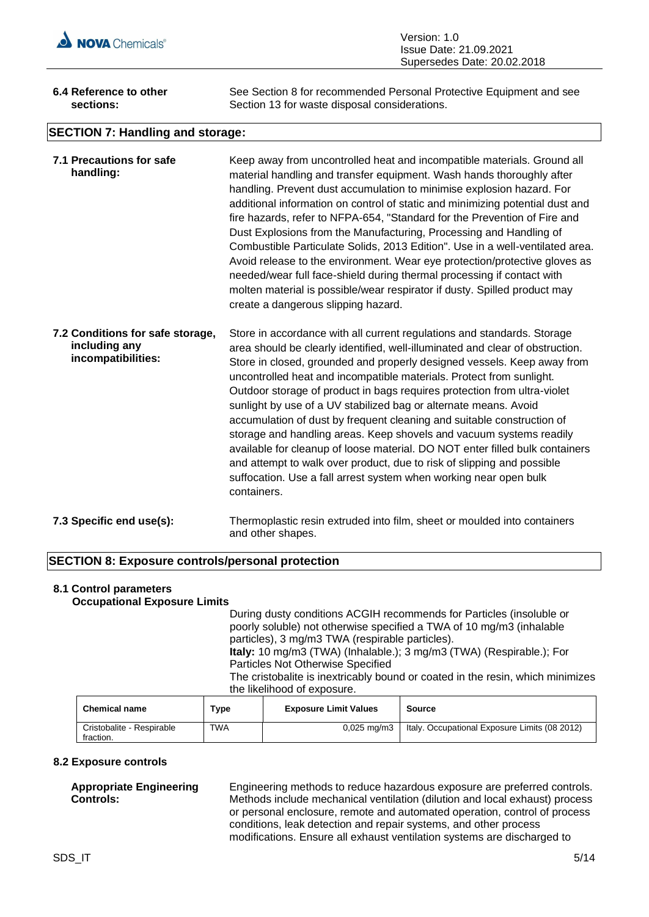

| 6.4 Reference to other                  | See Section 8 for recommended Personal Protective Equipment and see |
|-----------------------------------------|---------------------------------------------------------------------|
| sections:                               | Section 13 for waste disposal considerations.                       |
| <b>SECTION 7: Handling and storage:</b> |                                                                     |

| 7.1 Precautions for safe<br>handling:                                   | Keep away from uncontrolled heat and incompatible materials. Ground all<br>material handling and transfer equipment. Wash hands thoroughly after<br>handling. Prevent dust accumulation to minimise explosion hazard. For<br>additional information on control of static and minimizing potential dust and<br>fire hazards, refer to NFPA-654, "Standard for the Prevention of Fire and<br>Dust Explosions from the Manufacturing, Processing and Handling of<br>Combustible Particulate Solids, 2013 Edition". Use in a well-ventilated area.<br>Avoid release to the environment. Wear eye protection/protective gloves as<br>needed/wear full face-shield during thermal processing if contact with<br>molten material is possible/wear respirator if dusty. Spilled product may<br>create a dangerous slipping hazard.                                 |
|-------------------------------------------------------------------------|------------------------------------------------------------------------------------------------------------------------------------------------------------------------------------------------------------------------------------------------------------------------------------------------------------------------------------------------------------------------------------------------------------------------------------------------------------------------------------------------------------------------------------------------------------------------------------------------------------------------------------------------------------------------------------------------------------------------------------------------------------------------------------------------------------------------------------------------------------|
| 7.2 Conditions for safe storage,<br>including any<br>incompatibilities: | Store in accordance with all current regulations and standards. Storage<br>area should be clearly identified, well-illuminated and clear of obstruction.<br>Store in closed, grounded and properly designed vessels. Keep away from<br>uncontrolled heat and incompatible materials. Protect from sunlight.<br>Outdoor storage of product in bags requires protection from ultra-violet<br>sunlight by use of a UV stabilized bag or alternate means. Avoid<br>accumulation of dust by frequent cleaning and suitable construction of<br>storage and handling areas. Keep shovels and vacuum systems readily<br>available for cleanup of loose material. DO NOT enter filled bulk containers<br>and attempt to walk over product, due to risk of slipping and possible<br>suffocation. Use a fall arrest system when working near open bulk<br>containers. |
| $7.2$ Creating and $1.21$                                               | Thomas polontic nocin in duty dolar films in boot on moulded into contoiners                                                                                                                                                                                                                                                                                                                                                                                                                                                                                                                                                                                                                                                                                                                                                                               |

## **7.3 Specific end use(s):** Thermoplastic resin extruded into film, sheet or moulded into containers and other shapes.

## **SECTION 8: Exposure controls/personal protection**

## **8.1 Control parameters Occupational Exposure Limits**

During dusty conditions ACGIH recommends for Particles (insoluble or poorly soluble) not otherwise specified a TWA of 10 mg/m3 (inhalable particles), 3 mg/m3 TWA (respirable particles). **Italy:** 10 mg/m3 (TWA) (Inhalable.); 3 mg/m3 (TWA) (Respirable.); For Particles Not Otherwise Specified The cristobalite is inextricably bound or coated in the resin, which minimizes the likelihood of exposure.

| <b>Chemical name</b>                   | Type       | <b>Exposure Limit Values</b> | Source                                        |
|----------------------------------------|------------|------------------------------|-----------------------------------------------|
| Cristobalite - Respirable<br>fraction. | <b>TWA</b> | 0,025 mg/m3                  | Italy. Occupational Exposure Limits (08 2012) |

## **8.2 Exposure controls**

## **Appropriate Engineering Controls:**

Engineering methods to reduce hazardous exposure are preferred controls. Methods include mechanical ventilation (dilution and local exhaust) process or personal enclosure, remote and automated operation, control of process conditions, leak detection and repair systems, and other process modifications. Ensure all exhaust ventilation systems are discharged to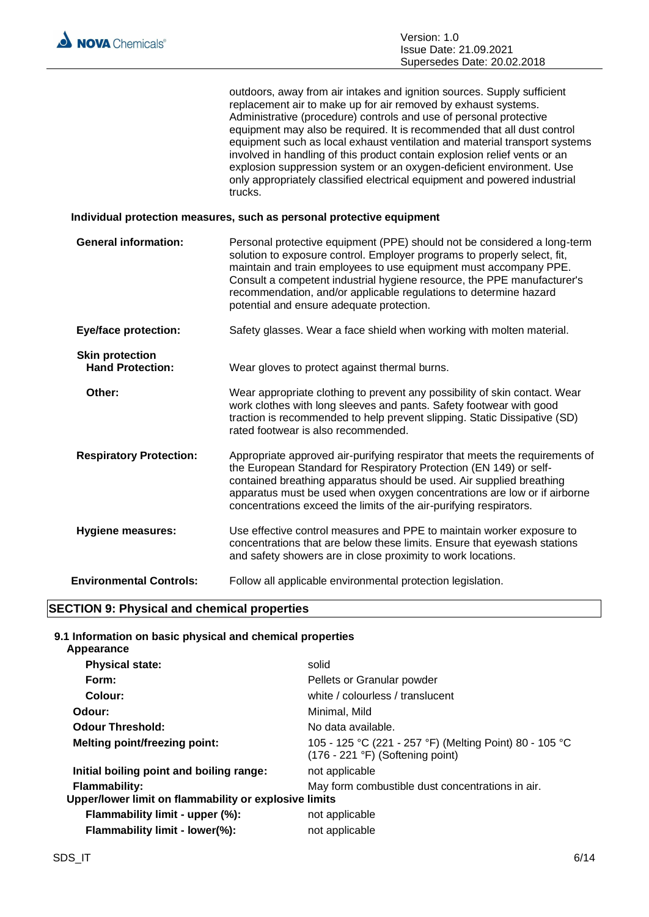| outdoors, away from air intakes and ignition sources. Supply sufficient    |
|----------------------------------------------------------------------------|
| replacement air to make up for air removed by exhaust systems.             |
| Administrative (procedure) controls and use of personal protective         |
| equipment may also be required. It is recommended that all dust control    |
| equipment such as local exhaust ventilation and material transport systems |
| involved in handling of this product contain explosion relief vents or an  |
| explosion suppression system or an oxygen-deficient environment. Use       |
| only appropriately classified electrical equipment and powered industrial  |
| trucks.                                                                    |
|                                                                            |

## **Individual protection measures, such as personal protective equipment**

**General information:** Personal protective equipment (PPE) should not be considered a long-term solution to exposure control. Employer programs to properly select, fit, maintain and train employees to use equipment must accompany PPE. Consult a competent industrial hygiene resource, the PPE manufacturer's recommendation, and/or applicable regulations to determine hazard potential and ensure adequate protection. **Eye/face protection:** Safety glasses. Wear a face shield when working with molten material. **Skin protection<br>
Hand Protection:** Wear gloves to protect against thermal burns. **Other:** Wear appropriate clothing to prevent any possibility of skin contact. Wear work clothes with long sleeves and pants. Safety footwear with good traction is recommended to help prevent slipping. Static Dissipative (SD) rated footwear is also recommended. **Respiratory Protection:** Appropriate approved air-purifying respirator that meets the requirements of the European Standard for Respiratory Protection (EN 149) or selfcontained breathing apparatus should be used. Air supplied breathing apparatus must be used when oxygen concentrations are low or if airborne concentrations exceed the limits of the air-purifying respirators. **Hygiene measures:** Use effective control measures and PPE to maintain worker exposure to concentrations that are below these limits. Ensure that eyewash stations and safety showers are in close proximity to work locations. **Environmental Controls:** Follow all applicable environmental protection legislation.

## **SECTION 9: Physical and chemical properties**

#### **9.1 Information on basic physical and chemical properties Appearance**

| solid                                                                                                     |
|-----------------------------------------------------------------------------------------------------------|
| Pellets or Granular powder                                                                                |
| white / colourless / translucent                                                                          |
| Minimal, Mild                                                                                             |
| No data available.                                                                                        |
| 105 - 125 °C (221 - 257 °F) (Melting Point) 80 - 105 °C<br>$(176 - 221 \degree F)$ (Softening point)      |
| not applicable                                                                                            |
| May form combustible dust concentrations in air.<br>Upper/lower limit on flammability or explosive limits |
| not applicable                                                                                            |
| not applicable                                                                                            |
|                                                                                                           |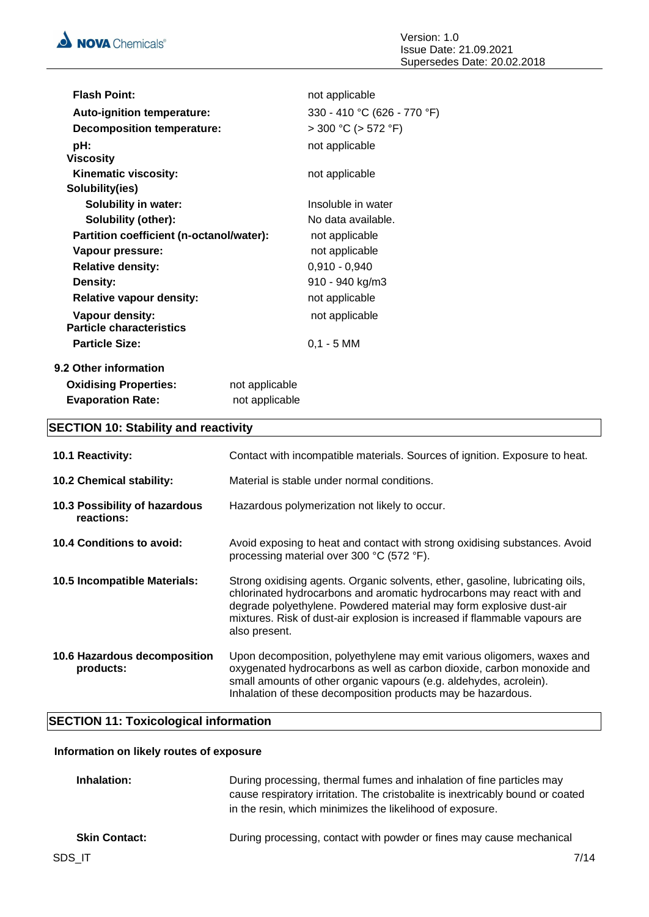| <b>Flash Point:</b>                      |                | not applicable              |
|------------------------------------------|----------------|-----------------------------|
| <b>Auto-ignition temperature:</b>        |                | 330 - 410 °C (626 - 770 °F) |
| <b>Decomposition temperature:</b>        |                | $>$ 300 °C ( $>$ 572 °F)    |
| pH:                                      |                | not applicable              |
| <b>Viscosity</b>                         |                |                             |
| Kinematic viscosity:                     |                | not applicable              |
| Solubility(ies)                          |                |                             |
| <b>Solubility in water:</b>              |                | Insoluble in water          |
| Solubility (other):                      |                | No data available.          |
| Partition coefficient (n-octanol/water): |                | not applicable              |
| Vapour pressure:                         |                | not applicable              |
| <b>Relative density:</b>                 |                | $0,910 - 0,940$             |
| Density:                                 |                | 910 - 940 kg/m3             |
| <b>Relative vapour density:</b>          |                | not applicable              |
| Vapour density:                          |                | not applicable              |
| <b>Particle characteristics</b>          |                |                             |
| <b>Particle Size:</b>                    |                | $0,1 - 5$ MM                |
| 9.2 Other information                    |                |                             |
| <b>Oxidising Properties:</b>             | not applicable |                             |
| <b>Evaporation Rate:</b>                 | not applicable |                             |

## **SECTION 10: Stability and reactivity**

| <b>10.1 Reactivity:</b>                     | Contact with incompatible materials. Sources of ignition. Exposure to heat.                                                                                                                                                                                                                                                  |
|---------------------------------------------|------------------------------------------------------------------------------------------------------------------------------------------------------------------------------------------------------------------------------------------------------------------------------------------------------------------------------|
| 10.2 Chemical stability:                    | Material is stable under normal conditions.                                                                                                                                                                                                                                                                                  |
| 10.3 Possibility of hazardous<br>reactions: | Hazardous polymerization not likely to occur.                                                                                                                                                                                                                                                                                |
| 10.4 Conditions to avoid:                   | Avoid exposing to heat and contact with strong oxidising substances. Avoid<br>processing material over 300 °C (572 °F).                                                                                                                                                                                                      |
| 10.5 Incompatible Materials:                | Strong oxidising agents. Organic solvents, ether, gasoline, lubricating oils,<br>chlorinated hydrocarbons and aromatic hydrocarbons may react with and<br>degrade polyethylene. Powdered material may form explosive dust-air<br>mixtures. Risk of dust-air explosion is increased if flammable vapours are<br>also present. |
| 10.6 Hazardous decomposition<br>products:   | Upon decomposition, polyethylene may emit various oligomers, waxes and<br>oxygenated hydrocarbons as well as carbon dioxide, carbon monoxide and<br>small amounts of other organic vapours (e.g. aldehydes, acrolein).<br>Inhalation of these decomposition products may be hazardous.                                       |

## **SECTION 11: Toxicological information**

## **Information on likely routes of exposure**

| Inhalation:          | During processing, thermal fumes and inhalation of fine particles may<br>cause respiratory irritation. The cristobalite is inextricably bound or coated<br>in the resin, which minimizes the likelihood of exposure. |
|----------------------|----------------------------------------------------------------------------------------------------------------------------------------------------------------------------------------------------------------------|
| <b>Skin Contact:</b> | During processing, contact with powder or fines may cause mechanical                                                                                                                                                 |
| SDS IT               | 7/14                                                                                                                                                                                                                 |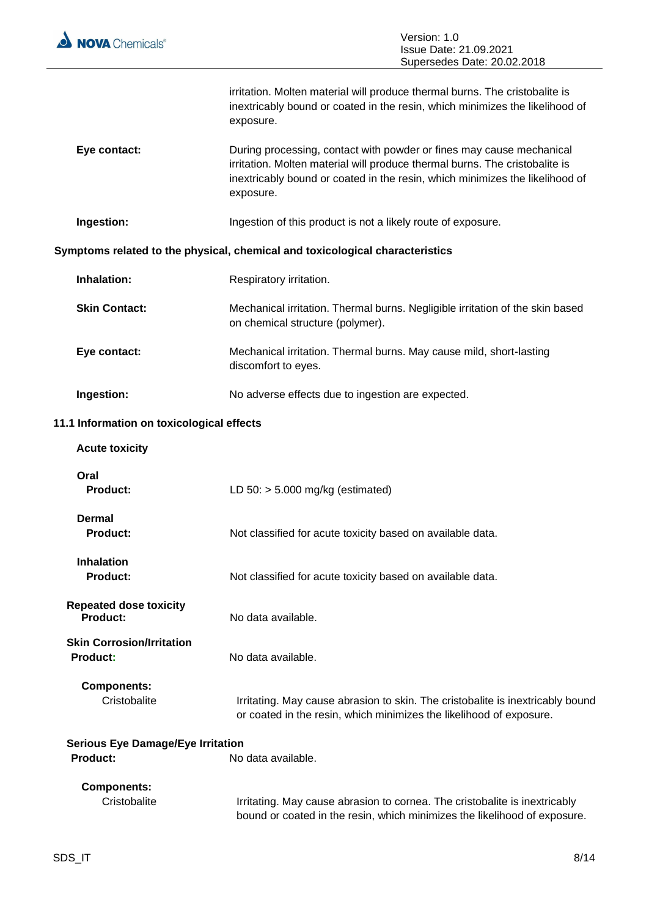

 $\equiv$ 

|                                                             | irritation. Molten material will produce thermal burns. The cristobalite is<br>inextricably bound or coated in the resin, which minimizes the likelihood of<br>exposure.                                                                         |
|-------------------------------------------------------------|--------------------------------------------------------------------------------------------------------------------------------------------------------------------------------------------------------------------------------------------------|
| Eye contact:                                                | During processing, contact with powder or fines may cause mechanical<br>irritation. Molten material will produce thermal burns. The cristobalite is<br>inextricably bound or coated in the resin, which minimizes the likelihood of<br>exposure. |
| Ingestion:                                                  | Ingestion of this product is not a likely route of exposure.                                                                                                                                                                                     |
|                                                             | Symptoms related to the physical, chemical and toxicological characteristics                                                                                                                                                                     |
| Inhalation:                                                 | Respiratory irritation.                                                                                                                                                                                                                          |
| <b>Skin Contact:</b>                                        | Mechanical irritation. Thermal burns. Negligible irritation of the skin based<br>on chemical structure (polymer).                                                                                                                                |
| Eye contact:                                                | Mechanical irritation. Thermal burns. May cause mild, short-lasting<br>discomfort to eyes.                                                                                                                                                       |
| Ingestion:                                                  | No adverse effects due to ingestion are expected.                                                                                                                                                                                                |
| 11.1 Information on toxicological effects                   |                                                                                                                                                                                                                                                  |
| <b>Acute toxicity</b>                                       |                                                                                                                                                                                                                                                  |
| Oral<br><b>Product:</b>                                     | LD $50:$ > 5.000 mg/kg (estimated)                                                                                                                                                                                                               |
| Dermal<br><b>Product:</b>                                   | Not classified for acute toxicity based on available data.                                                                                                                                                                                       |
| <b>Inhalation</b><br><b>Product:</b>                        | Not classified for acute toxicity based on available data.                                                                                                                                                                                       |
| <b>Repeated dose toxicity</b><br><b>Product:</b>            | No data available.                                                                                                                                                                                                                               |
| <b>Skin Corrosion/Irritation</b><br>Product:                | No data available.                                                                                                                                                                                                                               |
| <b>Components:</b><br>Cristobalite                          | Irritating. May cause abrasion to skin. The cristobalite is inextricably bound<br>or coated in the resin, which minimizes the likelihood of exposure.                                                                                            |
| <b>Serious Eye Damage/Eye Irritation</b><br><b>Product:</b> | No data available.                                                                                                                                                                                                                               |
| <b>Components:</b><br>Cristobalite                          | Irritating. May cause abrasion to cornea. The cristobalite is inextricably<br>bound or coated in the resin, which minimizes the likelihood of exposure.                                                                                          |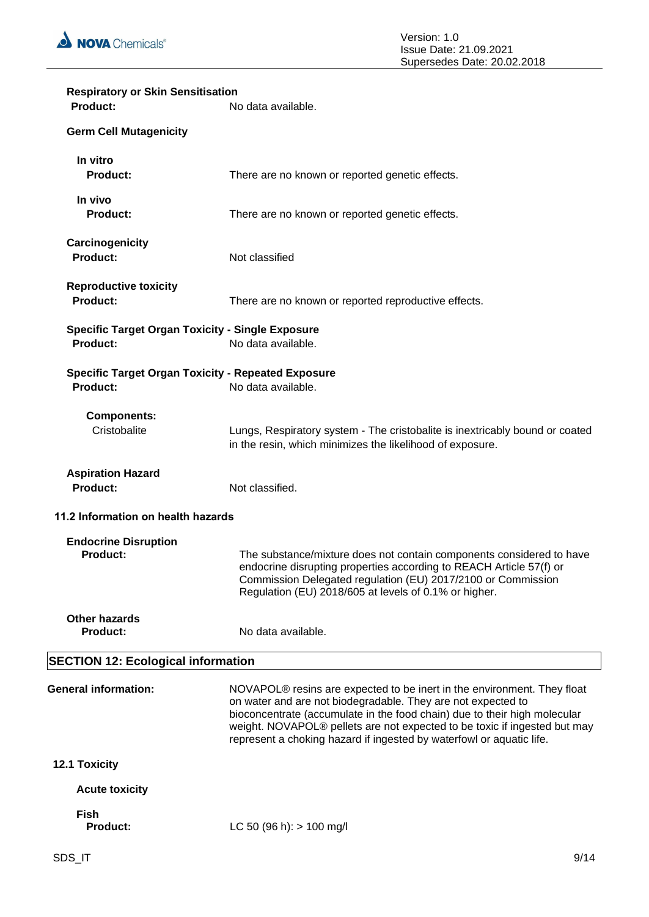

| <b>Respiratory or Skin Sensitisation</b><br>Product:                         | No data available.                                                                                                                                                                                                                                                                                                                                                        |
|------------------------------------------------------------------------------|---------------------------------------------------------------------------------------------------------------------------------------------------------------------------------------------------------------------------------------------------------------------------------------------------------------------------------------------------------------------------|
| <b>Germ Cell Mutagenicity</b>                                                |                                                                                                                                                                                                                                                                                                                                                                           |
| In vitro<br><b>Product:</b>                                                  | There are no known or reported genetic effects.                                                                                                                                                                                                                                                                                                                           |
| In vivo<br><b>Product:</b>                                                   | There are no known or reported genetic effects.                                                                                                                                                                                                                                                                                                                           |
| Carcinogenicity<br><b>Product:</b>                                           | Not classified                                                                                                                                                                                                                                                                                                                                                            |
| <b>Reproductive toxicity</b><br><b>Product:</b>                              | There are no known or reported reproductive effects.                                                                                                                                                                                                                                                                                                                      |
| <b>Specific Target Organ Toxicity - Single Exposure</b><br><b>Product:</b>   | No data available.                                                                                                                                                                                                                                                                                                                                                        |
| <b>Specific Target Organ Toxicity - Repeated Exposure</b><br><b>Product:</b> | No data available.                                                                                                                                                                                                                                                                                                                                                        |
| <b>Components:</b><br>Cristobalite                                           | Lungs, Respiratory system - The cristobalite is inextricably bound or coated<br>in the resin, which minimizes the likelihood of exposure.                                                                                                                                                                                                                                 |
| <b>Aspiration Hazard</b><br><b>Product:</b>                                  | Not classified.                                                                                                                                                                                                                                                                                                                                                           |
| 11.2 Information on health hazards                                           |                                                                                                                                                                                                                                                                                                                                                                           |
| <b>Endocrine Disruption</b><br><b>Product:</b>                               | The substance/mixture does not contain components considered to have<br>endocrine disrupting properties according to REACH Article 57(f) or<br>Commission Delegated regulation (EU) 2017/2100 or Commission<br>Regulation (EU) 2018/605 at levels of 0.1% or higher.                                                                                                      |
| <b>Other hazards</b><br><b>Product:</b>                                      | No data available.                                                                                                                                                                                                                                                                                                                                                        |
| <b>SECTION 12: Ecological information</b>                                    |                                                                                                                                                                                                                                                                                                                                                                           |
| <b>General information:</b>                                                  | NOVAPOL® resins are expected to be inert in the environment. They float<br>on water and are not biodegradable. They are not expected to<br>bioconcentrate (accumulate in the food chain) due to their high molecular<br>weight. NOVAPOL® pellets are not expected to be toxic if ingested but may<br>represent a choking hazard if ingested by waterfowl or aquatic life. |
| 12.1 Toxicity                                                                |                                                                                                                                                                                                                                                                                                                                                                           |
| <b>Acute toxicity</b>                                                        |                                                                                                                                                                                                                                                                                                                                                                           |
| <b>Fish</b><br><b>Product:</b>                                               | LC 50 (96 h): $> 100$ mg/l                                                                                                                                                                                                                                                                                                                                                |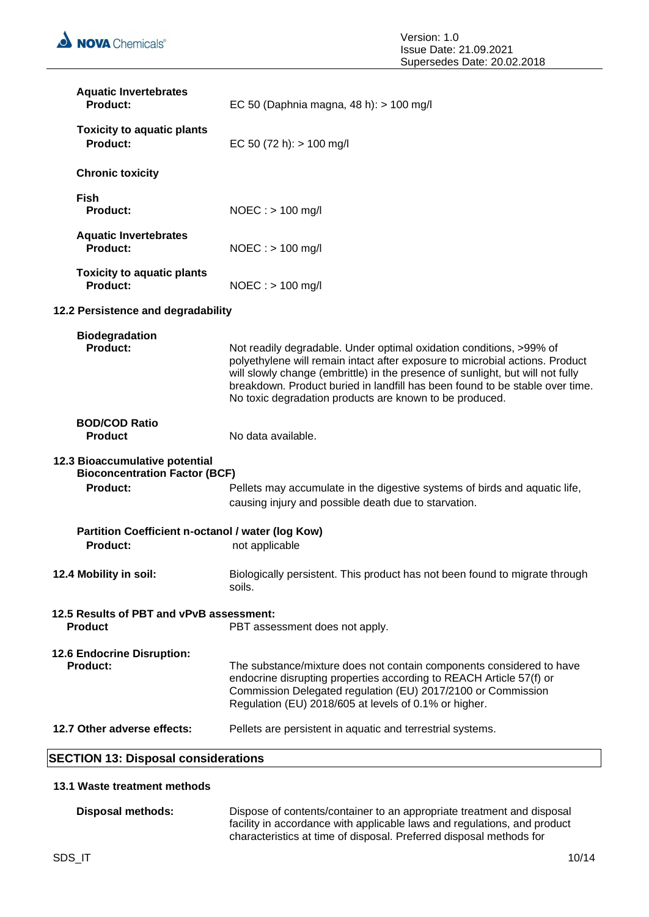| <b>Aquatic Invertebrates</b><br><b>Product:</b>                                           | EC 50 (Daphnia magna, 48 h): > 100 mg/l                                                                                                                                                                                                                                                                                                                                          |
|-------------------------------------------------------------------------------------------|----------------------------------------------------------------------------------------------------------------------------------------------------------------------------------------------------------------------------------------------------------------------------------------------------------------------------------------------------------------------------------|
| <b>Toxicity to aquatic plants</b><br><b>Product:</b>                                      | EC 50 (72 h): $> 100$ mg/l                                                                                                                                                                                                                                                                                                                                                       |
| <b>Chronic toxicity</b>                                                                   |                                                                                                                                                                                                                                                                                                                                                                                  |
| <b>Fish</b><br><b>Product:</b>                                                            | $NOEC :$ > 100 mg/l                                                                                                                                                                                                                                                                                                                                                              |
| <b>Aquatic Invertebrates</b><br><b>Product:</b>                                           | $NOEC : > 100$ mg/l                                                                                                                                                                                                                                                                                                                                                              |
| <b>Toxicity to aquatic plants</b><br><b>Product:</b>                                      | $NOEC :$ > 100 mg/l                                                                                                                                                                                                                                                                                                                                                              |
| 12.2 Persistence and degradability                                                        |                                                                                                                                                                                                                                                                                                                                                                                  |
| <b>Biodegradation</b><br><b>Product:</b>                                                  | Not readily degradable. Under optimal oxidation conditions, >99% of<br>polyethylene will remain intact after exposure to microbial actions. Product<br>will slowly change (embrittle) in the presence of sunlight, but will not fully<br>breakdown. Product buried in landfill has been found to be stable over time.<br>No toxic degradation products are known to be produced. |
| <b>BOD/COD Ratio</b><br><b>Product</b>                                                    | No data available.                                                                                                                                                                                                                                                                                                                                                               |
| 12.3 Bioaccumulative potential<br><b>Bioconcentration Factor (BCF)</b><br><b>Product:</b> | Pellets may accumulate in the digestive systems of birds and aquatic life,<br>causing injury and possible death due to starvation.                                                                                                                                                                                                                                               |
| Partition Coefficient n-octanol / water (log Kow)<br><b>Product:</b>                      | not applicable                                                                                                                                                                                                                                                                                                                                                                   |
| 12.4 Mobility in soil:                                                                    | Biologically persistent. This product has not been found to migrate through<br>soils.                                                                                                                                                                                                                                                                                            |
| 12.5 Results of PBT and vPvB assessment:<br><b>Product</b>                                | PBT assessment does not apply.                                                                                                                                                                                                                                                                                                                                                   |
| 12.6 Endocrine Disruption:<br><b>Product:</b>                                             | The substance/mixture does not contain components considered to have<br>endocrine disrupting properties according to REACH Article 57(f) or<br>Commission Delegated regulation (EU) 2017/2100 or Commission<br>Regulation (EU) 2018/605 at levels of 0.1% or higher.                                                                                                             |
| 12.7 Other adverse effects:                                                               | Pellets are persistent in aquatic and terrestrial systems.                                                                                                                                                                                                                                                                                                                       |
| <b>SECTION 13: Disposal considerations</b>                                                |                                                                                                                                                                                                                                                                                                                                                                                  |

## **13.1 Waste treatment methods**

**Disposal methods:** Dispose of contents/container to an appropriate treatment and disposal facility in accordance with applicable laws and regulations, and product characteristics at time of disposal. Preferred disposal methods for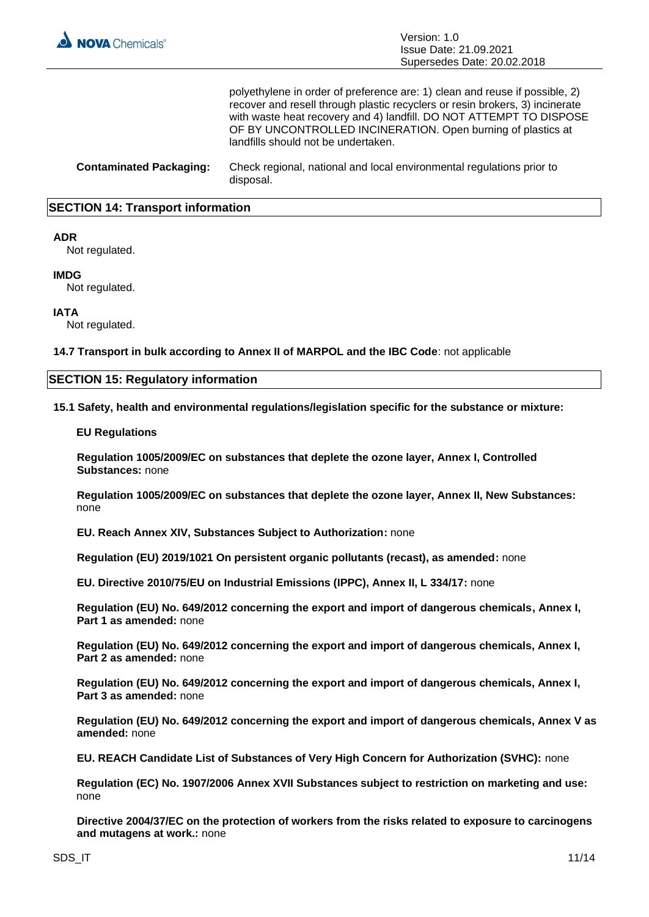

polyethylene in order of preference are: 1) clean and reuse if possible, 2) recover and resell through plastic recyclers or resin brokers, 3) incinerate with waste heat recovery and 4) landfill. DO NOT ATTEMPT TO DISPOSE OF BY UNCONTROLLED INCINERATION. Open burning of plastics at landfills should not be undertaken.

**Contaminated Packaging:** Check regional, national and local environmental regulations prior to disposal.

## **SECTION 14: Transport information**

## **ADR**

Not regulated.

#### **IMDG**

Not regulated.

## **IATA**

Not regulated.

**14.7 Transport in bulk according to Annex II of MARPOL and the IBC Code**: not applicable

## **SECTION 15: Regulatory information**

**15.1 Safety, health and environmental regulations/legislation specific for the substance or mixture:**

#### **EU Regulations**

**Regulation 1005/2009/EC on substances that deplete the ozone layer, Annex I, Controlled Substances:** none

**Regulation 1005/2009/EC on substances that deplete the ozone layer, Annex II, New Substances:**  none

**EU. Reach Annex XIV, Substances Subject to Authorization:** none

**Regulation (EU) 2019/1021 On persistent organic pollutants (recast), as amended:** none

**EU. Directive 2010/75/EU on Industrial Emissions (IPPC), Annex II, L 334/17:** none

**Regulation (EU) No. 649/2012 concerning the export and import of dangerous chemicals, Annex I, Part 1 as amended:** none

**Regulation (EU) No. 649/2012 concerning the export and import of dangerous chemicals, Annex I, Part 2 as amended:** none

**Regulation (EU) No. 649/2012 concerning the export and import of dangerous chemicals, Annex I, Part 3 as amended:** none

**Regulation (EU) No. 649/2012 concerning the export and import of dangerous chemicals, Annex V as amended:** none

**EU. REACH Candidate List of Substances of Very High Concern for Authorization (SVHC):** none

**Regulation (EC) No. 1907/2006 Annex XVII Substances subject to restriction on marketing and use:**  none

**Directive 2004/37/EC on the protection of workers from the risks related to exposure to carcinogens and mutagens at work.:** none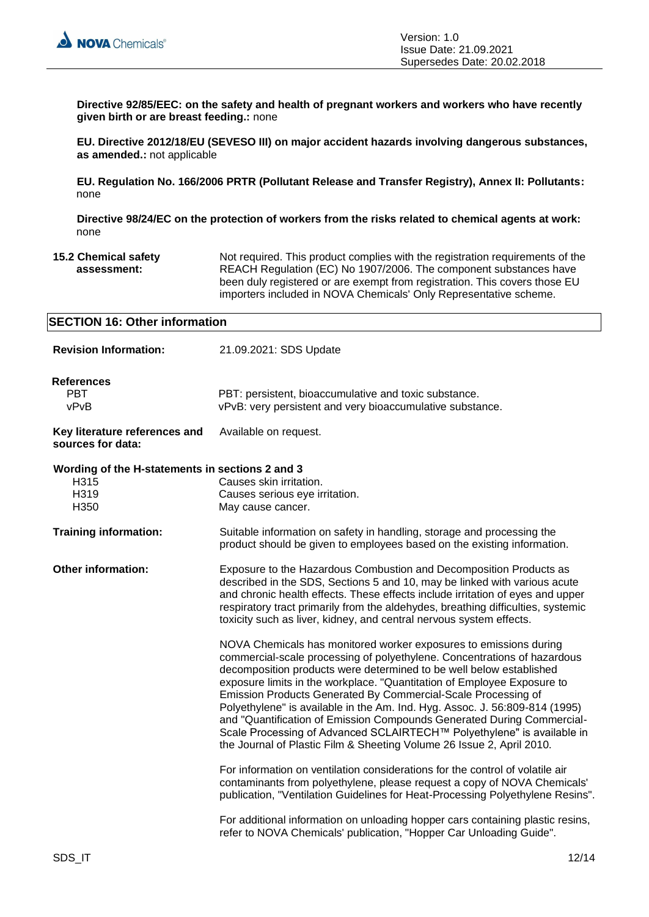

**Directive 92/85/EEC: on the safety and health of pregnant workers and workers who have recently given birth or are breast feeding.:** none

**EU. Directive 2012/18/EU (SEVESO III) on major accident hazards involving dangerous substances, as amended.:** not applicable

**EU. Regulation No. 166/2006 PRTR (Pollutant Release and Transfer Registry), Annex II: Pollutants:**  none

**Directive 98/24/EC on the protection of workers from the risks related to chemical agents at work:**  none

**15.2 Chemical safety assessment:** Not required. This product complies with the registration requirements of the REACH Regulation (EC) No 1907/2006. The component substances have been duly registered or are exempt from registration. This covers those EU importers included in NOVA Chemicals' Only Representative scheme.

| <b>SECTION 16: Other information</b>                                    |                                                                                                                                                                                                                                                                                                                                                                                                                                                                                                                                                                                                                                                                              |
|-------------------------------------------------------------------------|------------------------------------------------------------------------------------------------------------------------------------------------------------------------------------------------------------------------------------------------------------------------------------------------------------------------------------------------------------------------------------------------------------------------------------------------------------------------------------------------------------------------------------------------------------------------------------------------------------------------------------------------------------------------------|
| <b>Revision Information:</b>                                            | 21.09.2021: SDS Update                                                                                                                                                                                                                                                                                                                                                                                                                                                                                                                                                                                                                                                       |
| <b>References</b><br><b>PBT</b><br>vPvB                                 | PBT: persistent, bioaccumulative and toxic substance.<br>vPvB: very persistent and very bioaccumulative substance.                                                                                                                                                                                                                                                                                                                                                                                                                                                                                                                                                           |
| Key literature references and<br>sources for data:                      | Available on request.                                                                                                                                                                                                                                                                                                                                                                                                                                                                                                                                                                                                                                                        |
| Wording of the H-statements in sections 2 and 3<br>H315<br>H319<br>H350 | Causes skin irritation.<br>Causes serious eye irritation.<br>May cause cancer.                                                                                                                                                                                                                                                                                                                                                                                                                                                                                                                                                                                               |
| <b>Training information:</b>                                            | Suitable information on safety in handling, storage and processing the<br>product should be given to employees based on the existing information.                                                                                                                                                                                                                                                                                                                                                                                                                                                                                                                            |
| <b>Other information:</b>                                               | Exposure to the Hazardous Combustion and Decomposition Products as<br>described in the SDS, Sections 5 and 10, may be linked with various acute<br>and chronic health effects. These effects include irritation of eyes and upper<br>respiratory tract primarily from the aldehydes, breathing difficulties, systemic<br>toxicity such as liver, kidney, and central nervous system effects.                                                                                                                                                                                                                                                                                 |
|                                                                         | NOVA Chemicals has monitored worker exposures to emissions during<br>commercial-scale processing of polyethylene. Concentrations of hazardous<br>decomposition products were determined to be well below established<br>exposure limits in the workplace. "Quantitation of Employee Exposure to<br>Emission Products Generated By Commercial-Scale Processing of<br>Polyethylene" is available in the Am. Ind. Hyg. Assoc. J. 56:809-814 (1995)<br>and "Quantification of Emission Compounds Generated During Commercial-<br>Scale Processing of Advanced SCLAIRTECH™ Polyethylene" is available in<br>the Journal of Plastic Film & Sheeting Volume 26 Issue 2, April 2010. |
|                                                                         | For information on ventilation considerations for the control of volatile air<br>contaminants from polyethylene, please request a copy of NOVA Chemicals'<br>publication, "Ventilation Guidelines for Heat-Processing Polyethylene Resins".                                                                                                                                                                                                                                                                                                                                                                                                                                  |
|                                                                         | For additional information on unloading hopper cars containing plastic resins,<br>refer to NOVA Chemicals' publication, "Hopper Car Unloading Guide".                                                                                                                                                                                                                                                                                                                                                                                                                                                                                                                        |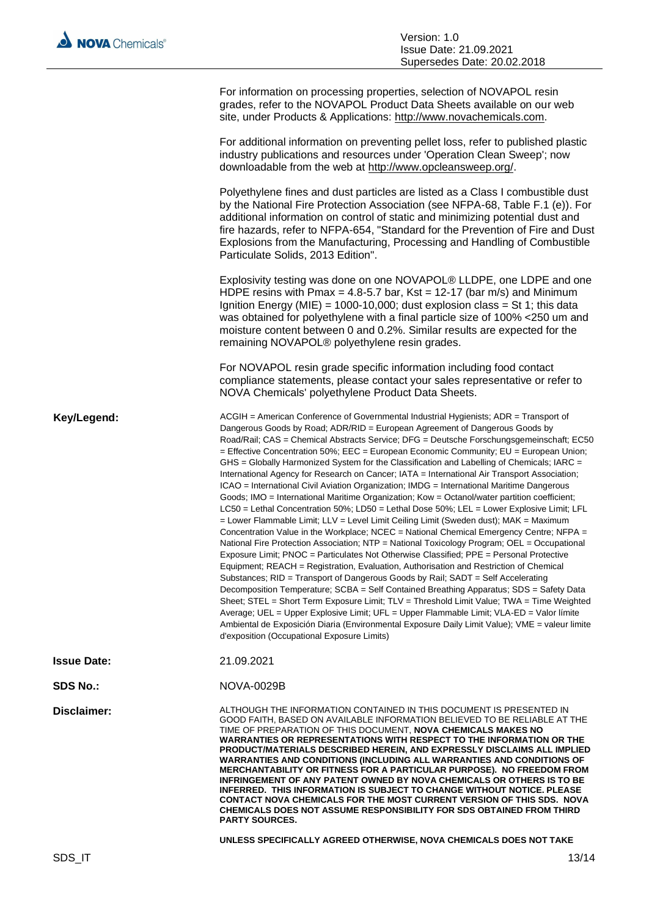|                    | For information on processing properties, selection of NOVAPOL resin<br>grades, refer to the NOVAPOL Product Data Sheets available on our web<br>site, under Products & Applications: http://www.novachemicals.com.                                                                                                                                                                                                                                                                                                                                                                                                                                                                                                                                                                                                                                                                                                                                                                                                                                                                                                                                                                                                                                                                                                                                                                                                                                                                                                                                                                                                                                                                                                                                                                                                                                 |
|--------------------|-----------------------------------------------------------------------------------------------------------------------------------------------------------------------------------------------------------------------------------------------------------------------------------------------------------------------------------------------------------------------------------------------------------------------------------------------------------------------------------------------------------------------------------------------------------------------------------------------------------------------------------------------------------------------------------------------------------------------------------------------------------------------------------------------------------------------------------------------------------------------------------------------------------------------------------------------------------------------------------------------------------------------------------------------------------------------------------------------------------------------------------------------------------------------------------------------------------------------------------------------------------------------------------------------------------------------------------------------------------------------------------------------------------------------------------------------------------------------------------------------------------------------------------------------------------------------------------------------------------------------------------------------------------------------------------------------------------------------------------------------------------------------------------------------------------------------------------------------------|
|                    | For additional information on preventing pellet loss, refer to published plastic<br>industry publications and resources under 'Operation Clean Sweep'; now<br>downloadable from the web at http://www.opcleansweep.org/.                                                                                                                                                                                                                                                                                                                                                                                                                                                                                                                                                                                                                                                                                                                                                                                                                                                                                                                                                                                                                                                                                                                                                                                                                                                                                                                                                                                                                                                                                                                                                                                                                            |
|                    | Polyethylene fines and dust particles are listed as a Class I combustible dust<br>by the National Fire Protection Association (see NFPA-68, Table F.1 (e)). For<br>additional information on control of static and minimizing potential dust and<br>fire hazards, refer to NFPA-654, "Standard for the Prevention of Fire and Dust<br>Explosions from the Manufacturing, Processing and Handling of Combustible<br>Particulate Solids, 2013 Edition".                                                                                                                                                                                                                                                                                                                                                                                                                                                                                                                                                                                                                                                                                                                                                                                                                                                                                                                                                                                                                                                                                                                                                                                                                                                                                                                                                                                               |
|                    | Explosivity testing was done on one NOVAPOL® LLDPE, one LDPE and one<br>HDPE resins with Pmax = 4.8-5.7 bar, Kst = 12-17 (bar m/s) and Minimum<br>Ignition Energy (MIE) = 1000-10,000; dust explosion class = St 1; this data<br>was obtained for polyethylene with a final particle size of 100% <250 um and<br>moisture content between 0 and 0.2%. Similar results are expected for the<br>remaining NOVAPOL® polyethylene resin grades.                                                                                                                                                                                                                                                                                                                                                                                                                                                                                                                                                                                                                                                                                                                                                                                                                                                                                                                                                                                                                                                                                                                                                                                                                                                                                                                                                                                                         |
|                    | For NOVAPOL resin grade specific information including food contact<br>compliance statements, please contact your sales representative or refer to<br>NOVA Chemicals' polyethylene Product Data Sheets.                                                                                                                                                                                                                                                                                                                                                                                                                                                                                                                                                                                                                                                                                                                                                                                                                                                                                                                                                                                                                                                                                                                                                                                                                                                                                                                                                                                                                                                                                                                                                                                                                                             |
| Key/Legend:        | ACGIH = American Conference of Governmental Industrial Hygienists; ADR = Transport of<br>Dangerous Goods by Road; ADR/RID = European Agreement of Dangerous Goods by<br>Road/Rail; CAS = Chemical Abstracts Service; DFG = Deutsche Forschungsgemeinschaft; EC50<br>= Effective Concentration 50%; EEC = European Economic Community; EU = European Union;<br>GHS = Globally Harmonized System for the Classification and Labelling of Chemicals; IARC =<br>International Agency for Research on Cancer; IATA = International Air Transport Association;<br>ICAO = International Civil Aviation Organization; IMDG = International Maritime Dangerous<br>Goods; IMO = International Maritime Organization; Kow = Octanol/water partition coefficient;<br>LC50 = Lethal Concentration 50%; LD50 = Lethal Dose 50%; LEL = Lower Explosive Limit; LFL<br>= Lower Flammable Limit; LLV = Level Limit Ceiling Limit (Sweden dust); MAK = Maximum<br>Concentration Value in the Workplace; NCEC = National Chemical Emergency Centre; NFPA =<br>National Fire Protection Association; NTP = National Toxicology Program; OEL = Occupational<br>Exposure Limit; PNOC = Particulates Not Otherwise Classified; PPE = Personal Protective<br>Equipment; REACH = Registration, Evaluation, Authorisation and Restriction of Chemical<br>Substances; RID = Transport of Dangerous Goods by Rail; SADT = Self Accelerating<br>Decomposition Temperature; SCBA = Self Contained Breathing Apparatus; SDS = Safety Data<br>Sheet; STEL = Short Term Exposure Limit; TLV = Threshold Limit Value; TWA = Time Weighted<br>Average; UEL = Upper Explosive Limit; UFL = Upper Flammable Limit; VLA-ED = Valor límite<br>Ambiental de Exposición Diaria (Environmental Exposure Daily Limit Value); VME = valeur limite<br>d'exposition (Occupational Exposure Limits) |
| <b>Issue Date:</b> | 21.09.2021                                                                                                                                                                                                                                                                                                                                                                                                                                                                                                                                                                                                                                                                                                                                                                                                                                                                                                                                                                                                                                                                                                                                                                                                                                                                                                                                                                                                                                                                                                                                                                                                                                                                                                                                                                                                                                          |
| SDS No.:           | NOVA-0029B                                                                                                                                                                                                                                                                                                                                                                                                                                                                                                                                                                                                                                                                                                                                                                                                                                                                                                                                                                                                                                                                                                                                                                                                                                                                                                                                                                                                                                                                                                                                                                                                                                                                                                                                                                                                                                          |
| Disclaimer:        | ALTHOUGH THE INFORMATION CONTAINED IN THIS DOCUMENT IS PRESENTED IN<br>GOOD FAITH, BASED ON AVAILABLE INFORMATION BELIEVED TO BE RELIABLE AT THE<br>TIME OF PREPARATION OF THIS DOCUMENT, NOVA CHEMICALS MAKES NO<br>WARRANTIES OR REPRESENTATIONS WITH RESPECT TO THE INFORMATION OR THE<br>PRODUCT/MATERIALS DESCRIBED HEREIN, AND EXPRESSLY DISCLAIMS ALL IMPLIED<br><b>WARRANTIES AND CONDITIONS (INCLUDING ALL WARRANTIES AND CONDITIONS OF</b><br>MERCHANTABILITY OR FITNESS FOR A PARTICULAR PURPOSE). NO FREEDOM FROM<br>INFRINGEMENT OF ANY PATENT OWNED BY NOVA CHEMICALS OR OTHERS IS TO BE<br><b>INFERRED. THIS INFORMATION IS SUBJECT TO CHANGE WITHOUT NOTICE. PLEASE</b><br>CONTACT NOVA CHEMICALS FOR THE MOST CURRENT VERSION OF THIS SDS. NOVA<br><b>CHEMICALS DOES NOT ASSUME RESPONSIBILITY FOR SDS OBTAINED FROM THIRD</b><br><b>PARTY SOURCES.</b>                                                                                                                                                                                                                                                                                                                                                                                                                                                                                                                                                                                                                                                                                                                                                                                                                                                                                                                                                                            |
|                    | UNLESS SPECIFICALLY AGREED OTHERWISE, NOVA CHEMICALS DOES NOT TAKE                                                                                                                                                                                                                                                                                                                                                                                                                                                                                                                                                                                                                                                                                                                                                                                                                                                                                                                                                                                                                                                                                                                                                                                                                                                                                                                                                                                                                                                                                                                                                                                                                                                                                                                                                                                  |